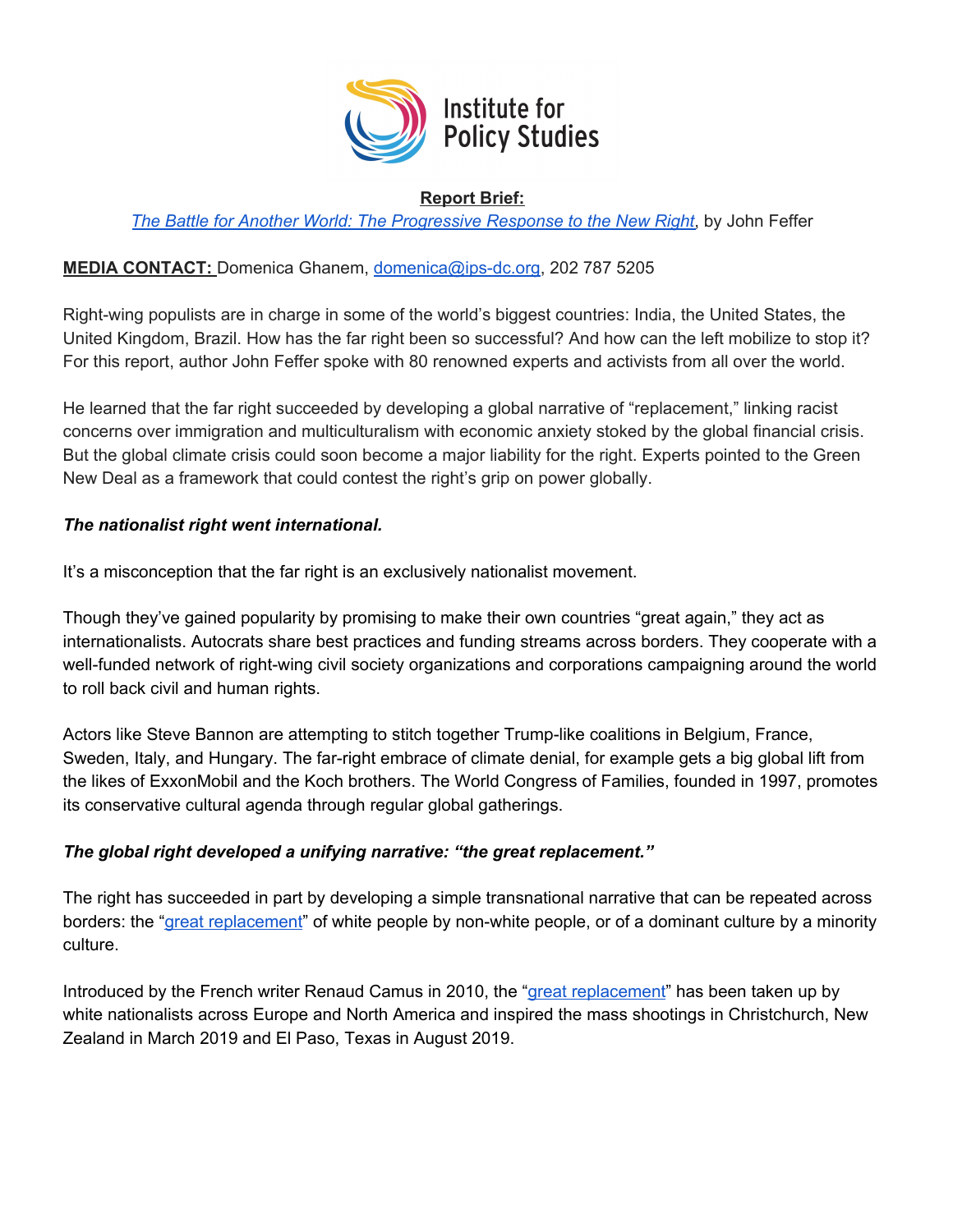

### **Report Brief:**

*The Battle for Another World: The [Progressive](https://ips-dc.org/report-progressive-response-new-right/) Response to the New Right*, by John Feffer

## **MEDIA CONTACT:** Domenica Ghanem, [domenica@ips-dc.org](mailto:domenica@ips-dc.org), 202 787 5205

Right-wing populists are in charge in some of the world's biggest countries: India, the United States, the United Kingdom, Brazil. How has the far right been so successful? And how can the left mobilize to stop it? For this report, author John Feffer spoke with 80 renowned experts and activists from all over the world.

He learned that the far right succeeded by developing a global narrative of "replacement," linking racist concerns over immigration and multiculturalism with economic anxiety stoked by the global financial crisis. But the global climate crisis could soon become a major liability for the right. Experts pointed to the Green New Deal as a framework that could contest the right's grip on power globally.

### *The nationalist right went international.*

It's a misconception that the far right is an exclusively nationalist movement.

Though they've gained popularity by promising to make their own countries "great again," they act as internationalists. Autocrats share best practices and funding streams across borders. They cooperate with a well-funded network of right-wing civil society organizations and corporations campaigning around the world to roll back civil and human rights.

Actors like Steve Bannon are attempting to stitch together Trump-like coalitions in Belgium, France, Sweden, Italy, and Hungary. The far-right embrace of climate denial, for example gets a big global lift from the likes of ExxonMobil and the Koch brothers. The World Congress of Families, founded in 1997, promotes its conservative cultural agenda through regular global gatherings.

## *The global right developed a unifying narrative: "the great replacement."*

The right has succeeded in part by developing a simple transnational narrative that can be repeated across borders: the "great [replacement](https://www.thenation.com/article/renaud-camus-great-replacement-brenton-tarrant/)" of white people by non-white people, or of a dominant culture by a minority culture.

Introduced by the French writer Renaud Camus in 2010, the "great [replacement"](https://www.thenation.com/article/renaud-camus-great-replacement-brenton-tarrant/) has been taken up by white nationalists across Europe and North America and inspired the mass shootings in Christchurch, New Zealand in March 2019 and El Paso, Texas in August 2019.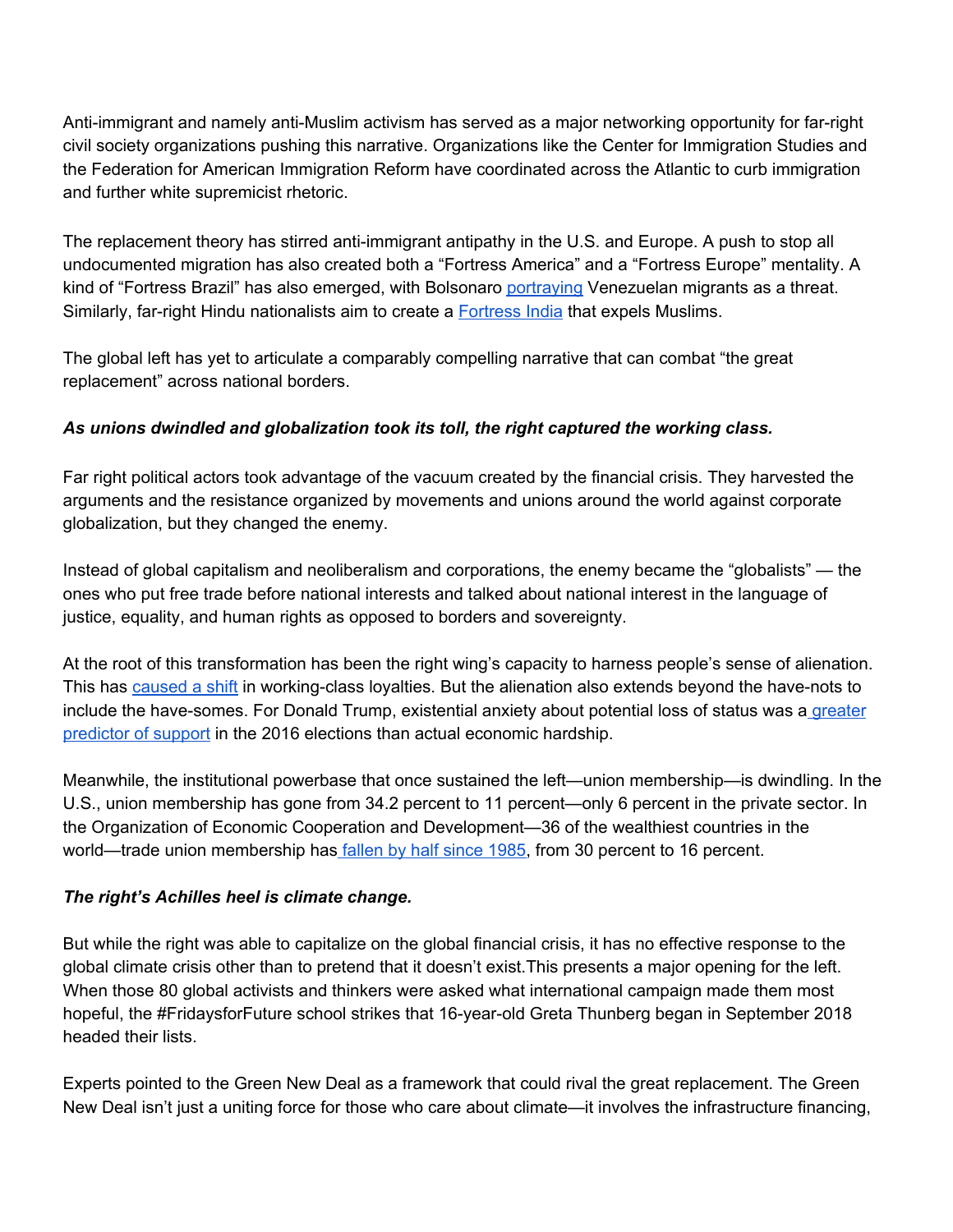Anti-immigrant and namely anti-Muslim activism has served as a major networking opportunity for far-right civil society organizations pushing this narrative. Organizations like the Center for Immigration Studies and the Federation for American Immigration Reform have coordinated across the Atlantic to curb immigration and further white supremicist rhetoric.

The replacement theory has stirred anti-immigrant antipathy in the U.S. and Europe. A push to stop all undocumented migration has also created both a "Fortress America" and a "Fortress Europe" mentality. A kind of "Fortress Brazil" has also emerged, with Bolsonaro [portraying](https://www.as-coa.org/articles/brazil-election-where-jair-bolsonaro-and-fernando-haddad-stand-foreign-policy) Venezuelan migrants as a threat. Similarly, far-right Hindu nationalists aim to create a [Fortress](https://www.nytimes.com/2019/08/17/world/asia/india-muslims-narendra-modi.html) India that expels Muslims.

The global left has yet to articulate a comparably compelling narrative that can combat "the great replacement" across national borders.

# *As unions dwindled and globalization took its toll, the right captured the working class.*

Far right political actors took advantage of the vacuum created by the financial crisis. They harvested the arguments and the resistance organized by movements and unions around the world against corporate globalization, but they changed the enemy.

Instead of global capitalism and neoliberalism and corporations, the enemy became the "globalists" — the ones who put free trade before national interests and talked about national interest in the language of justice, equality, and human rights as opposed to borders and sovereignty.

At the root of this transformation has been the right wing's capacity to harness people's sense of alienation. This has [caused](https://foreignpolicy.com/2017/02/07/how-the-left-learned-to-love-le-pen-national-front-france-communists/) a shift in working-class loyalties. But the alienation also extends beyond the have-nots to include the have-somes. For Donald Trump, existential anxiety about potential loss of status was a [greater](https://www.theatlantic.com/science/archive/2018/04/existential-anxiety-not-poverty-motivates-trump-support/558674/) [predictor](https://www.theatlantic.com/science/archive/2018/04/existential-anxiety-not-poverty-motivates-trump-support/558674/) of support in the 2016 elections than actual economic hardship.

Meanwhile, the institutional powerbase that once sustained the left—union membership—is dwindling. In the U.S., union membership has gone from 34.2 percent to 11 percent—only 6 percent in the private sector. In the Organization of Economic Cooperation and Development—36 of the wealthiest countries in the world—trade union membership has [fallen](https://www.forbes.com/sites/niallmccarthy/2019/05/06/the-state-of-global-trade-union-membership-infographic/#c4d65582b6e4) by half since 1985, from 30 percent to 16 percent.

## *The right's Achilles heel is climate change.*

But while the right was able to capitalize on the global financial crisis, it has no effective response to the global climate crisis other than to pretend that it doesn't exist.This presents a major opening for the left. When those 80 global activists and thinkers were asked what international campaign made them most hopeful, the #FridaysforFuture school strikes that 16-year-old Greta Thunberg began in September 2018 headed their lists.

Experts pointed to the Green New Deal as a framework that could rival the great replacement. The Green New Deal isn't just a uniting force for those who care about climate—it involves the infrastructure financing,